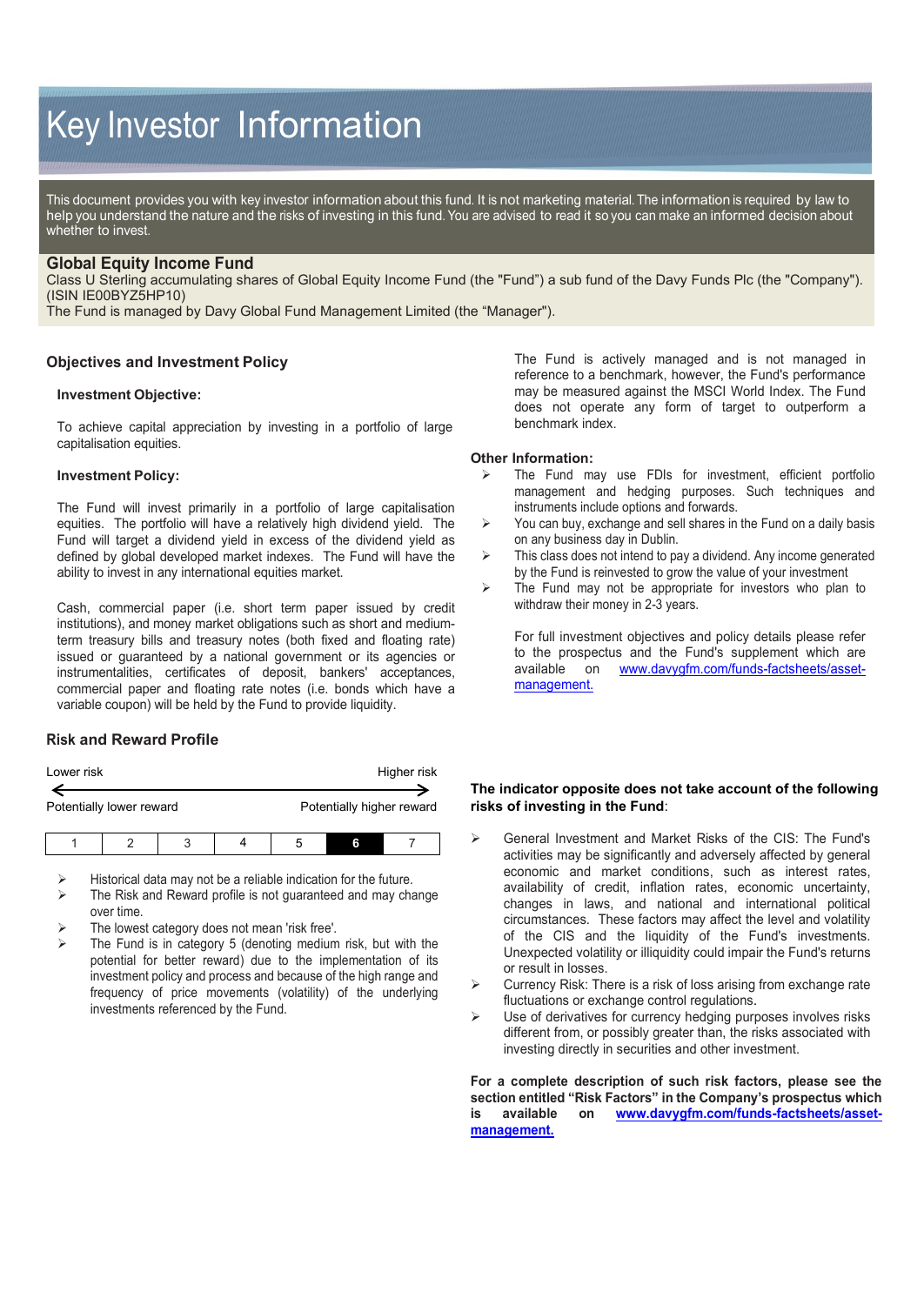# Key Investor Information

This document provides you with key investor information about this fund. It is not marketing material. The information is required by law to help you understand the nature and the risks of investing in this fund. You are advised to read it so you can make an informed decision about whether to invest.

# **Global Equity Income Fund**

Class U Sterling accumulating shares of Global Equity Income Fund (the "Fund") a sub fund of the Davy Funds Plc (the "Company"). (ISIN IE00BYZ5HP10)

The Fund is managed by Davy Global Fund Management Limited (the "Manager").

## **Objectives and Investment Policy**

#### **Investment Objective:**

To achieve capital appreciation by investing in a portfolio of large capitalisation equities.

#### **Investment Policy:**

The Fund will invest primarily in a portfolio of large capitalisation equities. The portfolio will have a relatively high dividend yield. The Fund will target a dividend yield in excess of the dividend yield as defined by global developed market indexes. The Fund will have the ability to invest in any international equities market.

Cash, commercial paper (i.e. short term paper issued by credit institutions), and money market obligations such as short and mediumterm treasury bills and treasury notes (both fixed and floating rate) issued or guaranteed by a national government or its agencies or instrumentalities, certificates of deposit, bankers' acceptances, commercial paper and floating rate notes (i.e. bonds which have a variable coupon) will be held by the Fund to provide liquidity.

# **Risk and Reward Profile**

| Lower risk               |  |   |  |                           |   | Higher risk |
|--------------------------|--|---|--|---------------------------|---|-------------|
| Potentially lower reward |  |   |  | Potentially higher reward |   |             |
|                          |  | ঽ |  |                           | 6 |             |

Historical data may not be a reliable indication for the future.

- The Risk and Reward profile is not guaranteed and may change over time.
- The lowest category does not mean 'risk free'.
- The Fund is in category 5 (denoting medium risk, but with the potential for better reward) due to the implementation of its investment policy and process and because of the high range and frequency of price movements (volatility) of the underlying investments referenced by the Fund.

The Fund is actively managed and is not managed in reference to a benchmark, however, the Fund's performance may be measured against the MSCI World Index. The Fund does not operate any form of target to outperform a benchmark index.

#### **Other Information:**

- The Fund may use FDIs for investment, efficient portfolio management and hedging purposes. Such techniques and instruments include options and forwards.
- $\triangleright$  You can buy, exchange and sell shares in the Fund on a daily basis on any business day in Dublin.
- $\triangleright$  This class does not intend to pay a dividend. Any income generated by the Fund is reinvested to grow the value of your investment
- $\triangleright$  The Fund may not be appropriate for investors who plan to withdraw their money in 2-3 years.

For full investment objectives and policy details please refer to the prospectus and the Fund's supplement which are available on www.davygfm.com/funds-factsheets/asset[www.davygfm.com/funds-factsheets/asset](http://www.davygfm.com/funds-factsheets/asset-management)[management.](http://www.davygfm.com/funds-factsheets/asset-management) 

## **The indicator opposite does not take account of the following risks of investing in the Fund**:

- General Investment and Market Risks of the CIS: The Fund's activities may be significantly and adversely affected by general economic and market conditions, such as interest rates, availability of credit, inflation rates, economic uncertainty, changes in laws, and national and international political circumstances. These factors may affect the level and volatility of the CIS and the liquidity of the Fund's investments. Unexpected volatility or illiquidity could impair the Fund's returns or result in losses.
- $\triangleright$  Currency Risk: There is a risk of loss arising from exchange rate fluctuations or exchange control regulations.
- $\triangleright$  Use of derivatives for currency hedging purposes involves risks different from, or possibly greater than, the risks associated with investing directly in securities and other investment.

**For a complete description of such risk factors, please see the section entitled "Risk Factors" in the Company's prospectus which is available on [www.davygfm.com/funds-factsheets/asset](http://www.davygfm.com/funds-factsheets/asset-management)[management.](http://www.davygfm.com/funds-factsheets/asset-management)**